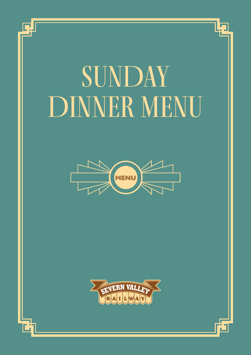# SUNDAY DINNER MENU

Ī